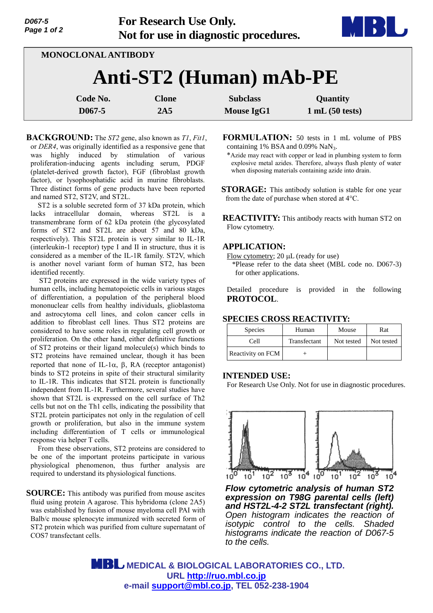

**MONOCLONAL ANTIBODY**

# **Anti-ST2 (Human) mAb-PE**

| Code No.   | Clone | <b>Subclass</b> | <b>Quantity</b> |
|------------|-------|-----------------|-----------------|
| $D067 - 5$ | 2A5   | Mouse IgG1      | 1 mL(50 tests)  |

**BACKGROUND:** The *ST2* gene, also known as *T1*, *Fit1*, or *DER4*, was originally identified as a responsive gene that was highly induced by stimulation of various proliferation-inducing agents including serum, PDGF (platelet-derived growth factor), FGF (fibroblast growth factor), or lysophosphatidic acid in murine fibroblasts. Three distinct forms of gene products have been reported and named ST2, ST2V, and ST2L.

ST2 is a soluble secreted form of 37 kDa protein, which lacks intracellular domain, whereas ST2L is a transmembrane form of 62 kDa protein (the glycosylated forms of ST2 and ST2L are about 57 and 80 kDa, respectively). This ST2L protein is very similar to IL-1R (interleukin-1 receptor) type I and II in structure, thus it is considered as a member of the IL-1R family. ST2V, which is another novel variant form of human ST2, has been identified recently.

ST2 proteins are expressed in the wide variety types of human cells, including hematopoietic cells in various stages of differentiation, a population of the peripheral blood mononuclear cells from healthy individuals, glioblastoma and astrocytoma cell lines, and colon cancer cells in addition to fibroblast cell lines. Thus ST2 proteins are considered to have some roles in regulating cell growth or proliferation. On the other hand, either definitive functions of ST2 proteins or their ligand molecule(s) which binds to ST2 proteins have remained unclear, though it has been reported that none of IL-1 $\alpha$ ,  $\beta$ , RA (receptor antagonist) binds to ST2 proteins in spite of their structural similarity to IL-1R. This indicates that ST2L protein is functionally independent from IL-1R. Furthermore, several studies have shown that ST2L is expressed on the cell surface of Th2 cells but not on the Th1 cells, indicating the possibility that ST2L protein participates not only in the regulation of cell growth or proliferation, but also in the immune system including differentiation of T cells or immunological response via helper T cells.

From these observations, ST2 proteins are considered to be one of the important proteins participate in various physiological phenomenon, thus further analysis are required to understand its physiological functions.

**SOURCE:** This antibody was purified from mouse ascites fluid using protein A agarose. This hybridoma (clone 2A5) was established by fusion of mouse myeloma cell PAI with Balb/c mouse splenocyte immunized with secreted form of ST2 protein which was purified from culture supernatant of COS7 transfectant cells.

**FORMULATION:** 50 tests in 1 mL volume of PBS containing 1% BSA and  $0.09\%$  NaN<sub>3</sub>.

\*Azide may react with copper or lead in plumbing system to form explosive metal azides. Therefore, always flush plenty of water when disposing materials containing azide into drain.

**STORAGE:** This antibody solution is stable for one year from the date of purchase when stored at 4°C.

**REACTIVITY:** This antibody reacts with human ST2 on Flow cytometry.

## **APPLICATION:**

Flow cytometry; 20  $\mu$ L (ready for use)

\*Please refer to the data sheet (MBL code no. D067-3) for other applications.

Detailed procedure is provided in the following **PROTOCOL**.

# **SPECIES CROSS REACTIVITY:**

| <b>Species</b>    | Human        | Mouse      | Rat        |
|-------------------|--------------|------------|------------|
| Cell              | Transfectant | Not tested | Not tested |
| Reactivity on FCM |              |            |            |

#### **INTENDED USE:**

For Research Use Only. Not for use in diagnostic procedures.



**Flow cytometric analysis of human ST2** expression on T98G parental cells (left) and HST2L-4-2 ST2L transfectant (right). *Open histogram indicates the reaction of the reaction of isotypic control to the cells. Shaded isotypic control to the cells. Shaded histograms indicate the reaction of D067-5 cells. to the cells.*

 **MEDICAL & BIOLOGICAL LABORATORIES CO., LTD. URL [http://ruo.mbl.co.jp](http://ruo.mbl.co.jp/) e-mail [support@mbl.co.jp,](mailto:support@mbl.co.jp) TEL 052-238-1904**